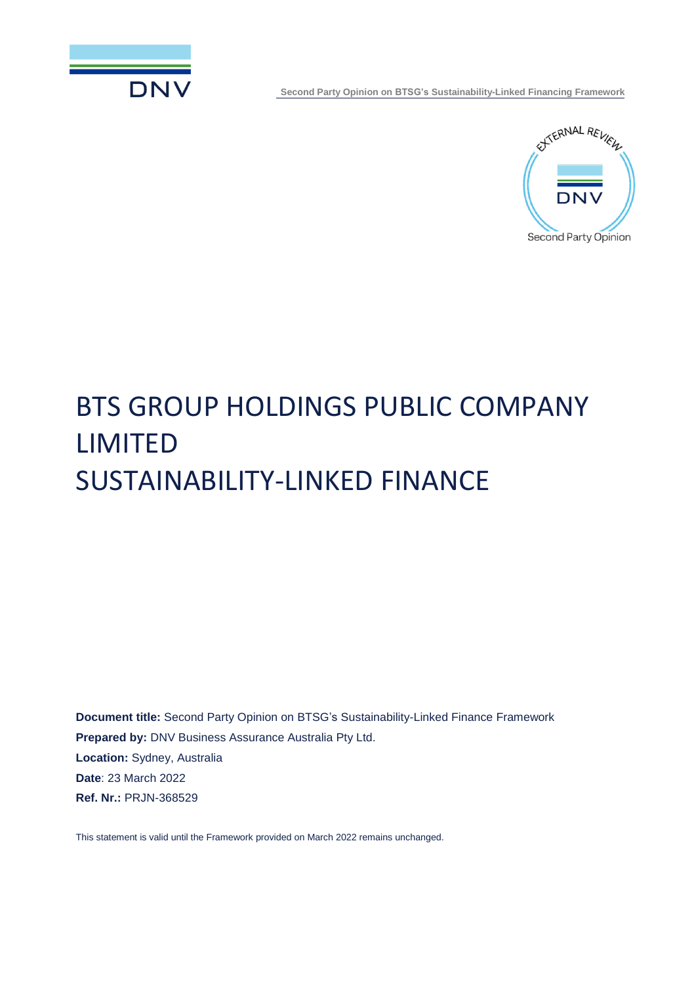



# BTS GROUP HOLDINGS PUBLIC COMPANY LIMITED SUSTAINABILITY-LINKED FINANCE

**Document title:** Second Party Opinion on BTSG's Sustainability-Linked Finance Framework **Prepared by:** DNV Business Assurance Australia Pty Ltd. **Location:** Sydney, Australia **Date**: 23 March 2022 **Ref. Nr.:** PRJN-368529

This statement is valid until the Framework provided on March 2022 remains unchanged.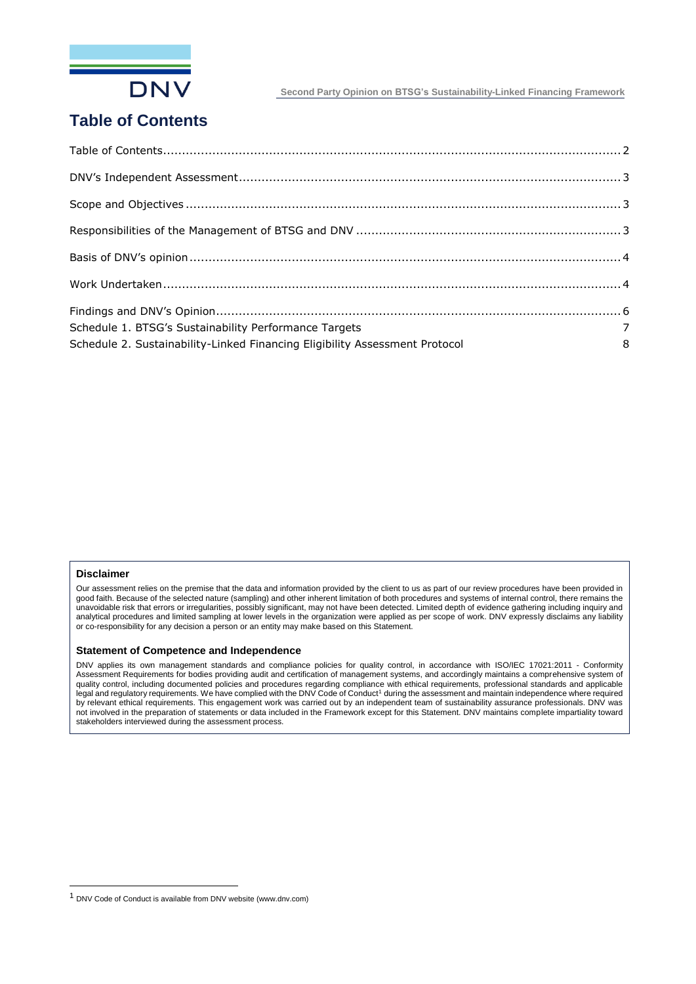

## <span id="page-1-0"></span>**Table of Contents**

| Schedule 1. BTSG's Sustainability Performance Targets                                                                |  |
|----------------------------------------------------------------------------------------------------------------------|--|
| $\begin{array}{c} 7 \\ 8 \end{array}$<br>Schedule 2. Sustainability-Linked Financing Eligibility Assessment Protocol |  |

#### **Disclaimer**

ı

Our assessment relies on the premise that the data and information provided by the client to us as part of our review procedures have been provided in good faith. Because of the selected nature (sampling) and other inherent limitation of both procedures and systems of internal control, there remains the unavoidable risk that errors or irregularities, possibly significant, may not have been detected. Limited depth of evidence gathering including inquiry and analytical procedures and limited sampling at lower levels in the organization were applied as per scope of work. DNV expressly disclaims any liability or co-responsibility for any decision a person or an entity may make based on this Statement.

#### **Statement of Competence and Independence**

DNV applies its own management standards and compliance policies for quality control, in accordance with ISO/IEC 17021:2011 - Conformity Assessment Requirements for bodies providing audit and certification of management systems, and accordingly maintains a comprehensive system of quality control, including documented policies and procedures regarding compliance with ethical requirements, professional standards and applicable<br>legal and regulatory requirements. We have complied with the DNV Code of C by relevant ethical requirements. This engagement work was carried out by an independent team of sustainability assurance professionals. DNV was not involved in the preparation of statements or data included in the Framework except for this Statement. DNV maintains complete impartiality toward stakeholders interviewed during the assessment process.

<sup>1</sup> DNV Code of Conduct is available from DNV website (www.dnv.com)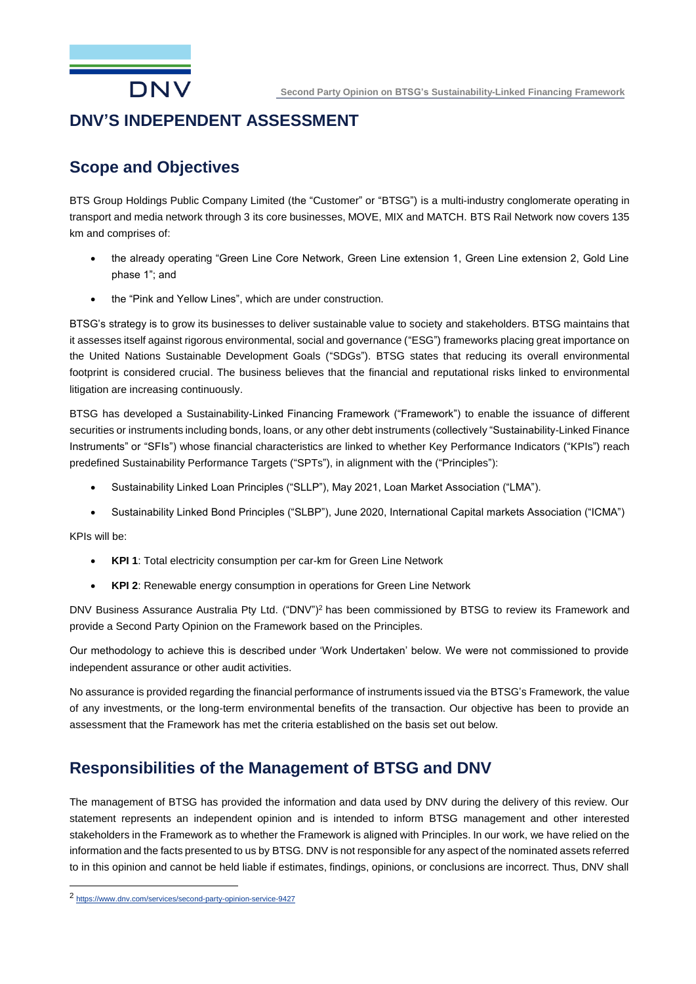

### <span id="page-2-0"></span>**DNV'S INDEPENDENT ASSESSMENT**

### <span id="page-2-1"></span>**Scope and Objectives**

BTS Group Holdings Public Company Limited (the "Customer" or "BTSG") is a multi-industry conglomerate operating in transport and media network through 3 its core businesses, MOVE, MIX and MATCH. BTS Rail Network now covers 135 km and comprises of:

- the already operating "Green Line Core Network, Green Line extension 1, Green Line extension 2, Gold Line phase 1"; and
- the "Pink and Yellow Lines", which are under construction.

BTSG's strategy is to grow its businesses to deliver sustainable value to society and stakeholders. BTSG maintains that it assesses itself against rigorous environmental, social and governance ("ESG") frameworks placing great importance on the United Nations Sustainable Development Goals ("SDGs"). BTSG states that reducing its overall environmental footprint is considered crucial. The business believes that the financial and reputational risks linked to environmental litigation are increasing continuously.

BTSG has developed a Sustainability-Linked Financing Framework ("Framework") to enable the issuance of different securities or instruments including bonds, loans, or any other debt instruments (collectively "Sustainability-Linked Finance Instruments" or "SFIs") whose financial characteristics are linked to whether Key Performance Indicators ("KPIs") reach predefined Sustainability Performance Targets ("SPTs"), in alignment with the ("Principles"):

- Sustainability Linked Loan Principles ("SLLP"), May 2021, Loan Market Association ("LMA").
- Sustainability Linked Bond Principles ("SLBP"), June 2020, International Capital markets Association ("ICMA")

KPIs will be:

ı

- **KPI 1**: Total electricity consumption per car-km for Green Line Network
- **KPI 2**: Renewable energy consumption in operations for Green Line Network

DNV Business Assurance Australia Pty Ltd. ("DNV")<sup>2</sup> has been commissioned by BTSG to review its Framework and provide a Second Party Opinion on the Framework based on the Principles.

Our methodology to achieve this is described under 'Work Undertaken' below. We were not commissioned to provide independent assurance or other audit activities.

No assurance is provided regarding the financial performance of instruments issued via the BTSG's Framework, the value of any investments, or the long-term environmental benefits of the transaction. Our objective has been to provide an assessment that the Framework has met the criteria established on the basis set out below.

### <span id="page-2-2"></span>**Responsibilities of the Management of BTSG and DNV**

The management of BTSG has provided the information and data used by DNV during the delivery of this review. Our statement represents an independent opinion and is intended to inform BTSG management and other interested stakeholders in the Framework as to whether the Framework is aligned with Principles. In our work, we have relied on the information and the facts presented to us by BTSG. DNV is not responsible for any aspect of the nominated assets referred to in this opinion and cannot be held liable if estimates, findings, opinions, or conclusions are incorrect. Thus, DNV shall

<sup>2</sup> <https://www.dnv.com/services/second-party-opinion-service-9427>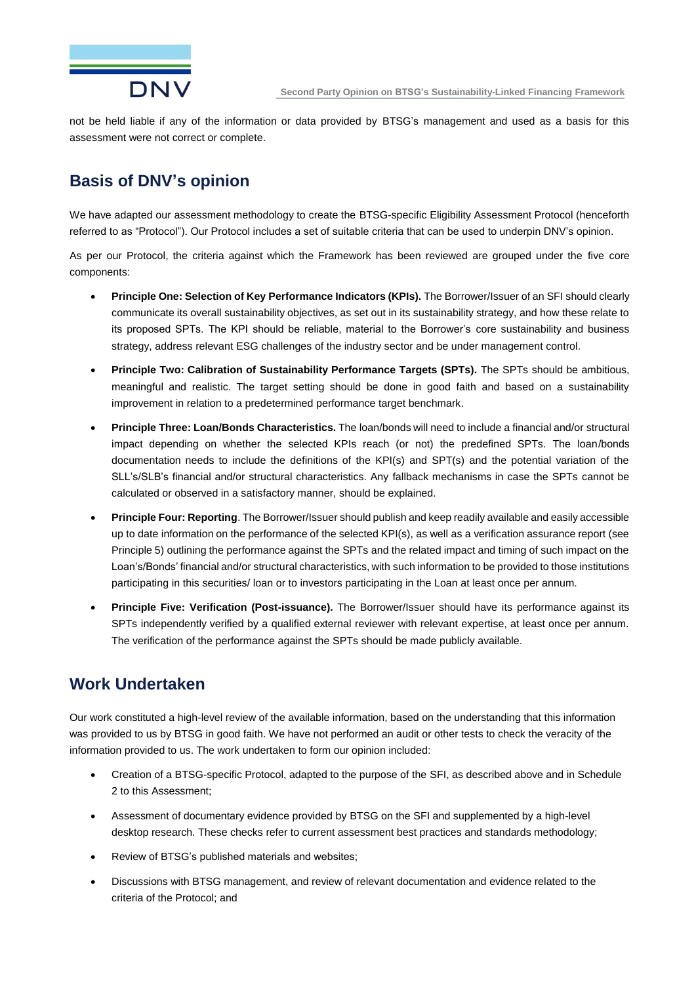

not be held liable if any of the information or data provided by BTSG's management and used as a basis for this assessment were not correct or complete.

# <span id="page-3-0"></span>**Basis of DNV's opinion**

We have adapted our assessment methodology to create the BTSG-specific Eligibility Assessment Protocol (henceforth referred to as "Protocol"). Our Protocol includes a set of suitable criteria that can be used to underpin DNV's opinion.

As per our Protocol, the criteria against which the Framework has been reviewed are grouped under the five core components:

- **Principle One: Selection of Key Performance Indicators (KPIs).** The Borrower/Issuer of an SFI should clearly communicate its overall sustainability objectives, as set out in its sustainability strategy, and how these relate to its proposed SPTs. The KPI should be reliable, material to the Borrower's core sustainability and business strategy, address relevant ESG challenges of the industry sector and be under management control.
- **Principle Two: Calibration of Sustainability Performance Targets (SPTs).** The SPTs should be ambitious, meaningful and realistic. The target setting should be done in good faith and based on a sustainability improvement in relation to a predetermined performance target benchmark.
- **Principle Three: Loan/Bonds Characteristics.** The loan/bonds will need to include a financial and/or structural impact depending on whether the selected KPIs reach (or not) the predefined SPTs. The loan/bonds documentation needs to include the definitions of the KPI(s) and SPT(s) and the potential variation of the SLL's/SLB's financial and/or structural characteristics. Any fallback mechanisms in case the SPTs cannot be calculated or observed in a satisfactory manner, should be explained.
- **Principle Four: Reporting**. The Borrower/Issuer should publish and keep readily available and easily accessible up to date information on the performance of the selected KPI(s), as well as a verification assurance report (see Principle 5) outlining the performance against the SPTs and the related impact and timing of such impact on the Loan's/Bonds' financial and/or structural characteristics, with such information to be provided to those institutions participating in this securities/ loan or to investors participating in the Loan at least once per annum.
- **Principle Five: Verification (Post-issuance).** The Borrower/Issuer should have its performance against its SPTs independently verified by a qualified external reviewer with relevant expertise, at least once per annum. The verification of the performance against the SPTs should be made publicly available.

### <span id="page-3-1"></span>**Work Undertaken**

Our work constituted a high-level review of the available information, based on the understanding that this information was provided to us by BTSG in good faith. We have not performed an audit or other tests to check the veracity of the information provided to us. The work undertaken to form our opinion included:

- Creation of a BTSG-specific Protocol, adapted to the purpose of the SFI, as described above and in Schedule 2 to this Assessment;
- Assessment of documentary evidence provided by BTSG on the SFI and supplemented by a high-level desktop research. These checks refer to current assessment best practices and standards methodology;
- Review of BTSG's published materials and websites;
- Discussions with BTSG management, and review of relevant documentation and evidence related to the criteria of the Protocol; and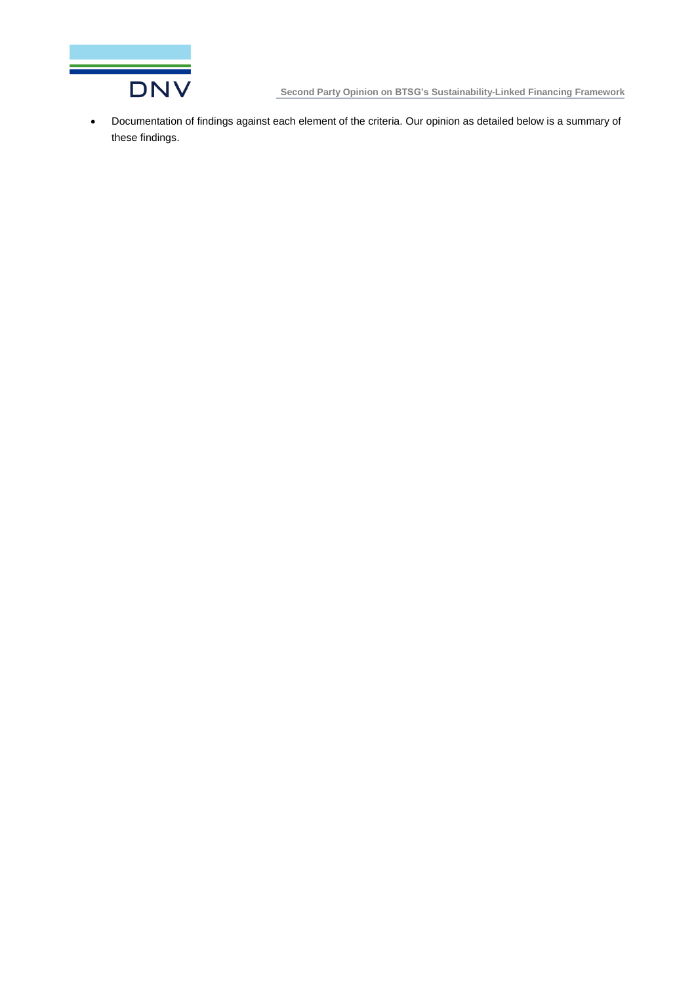

• Documentation of findings against each element of the criteria. Our opinion as detailed below is a summary of these findings.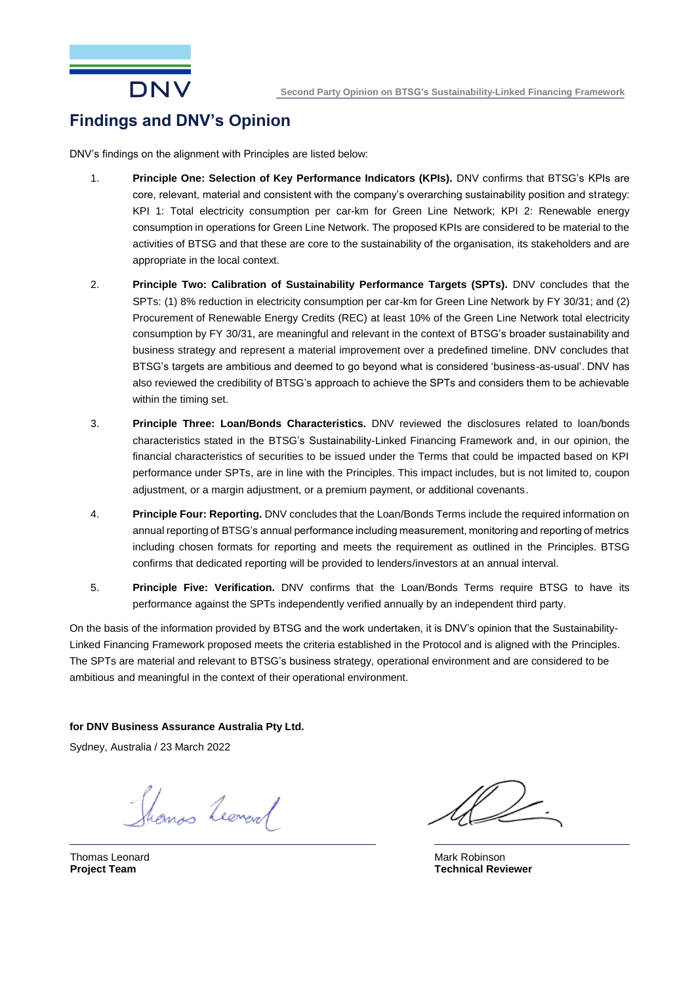

## <span id="page-5-0"></span>**Findings and DNV's Opinion**

DNV's findings on the alignment with Principles are listed below:

- 1. **Principle One: Selection of Key Performance Indicators (KPIs).** DNV confirms that BTSG's KPIs are core, relevant, material and consistent with the company's overarching sustainability position and strategy: KPI 1: Total electricity consumption per car-km for Green Line Network; KPI 2: Renewable energy consumption in operations for Green Line Network. The proposed KPIs are considered to be material to the activities of BTSG and that these are core to the sustainability of the organisation, its stakeholders and are appropriate in the local context.
- 2. **Principle Two: Calibration of Sustainability Performance Targets (SPTs).** DNV concludes that the SPTs: (1) 8% reduction in electricity consumption per car-km for Green Line Network by FY 30/31; and (2) Procurement of Renewable Energy Credits (REC) at least 10% of the Green Line Network total electricity consumption by FY 30/31, are meaningful and relevant in the context of BTSG's broader sustainability and business strategy and represent a material improvement over a predefined timeline. DNV concludes that BTSG's targets are ambitious and deemed to go beyond what is considered 'business-as-usual'. DNV has also reviewed the credibility of BTSG's approach to achieve the SPTs and considers them to be achievable within the timing set.
- 3. **Principle Three: Loan/Bonds Characteristics.** DNV reviewed the disclosures related to loan/bonds characteristics stated in the BTSG's Sustainability-Linked Financing Framework and, in our opinion, the financial characteristics of securities to be issued under the Terms that could be impacted based on KPI performance under SPTs, are in line with the Principles. This impact includes, but is not limited to, coupon adjustment, or a margin adjustment, or a premium payment, or additional covenants.
- 4. **Principle Four: Reporting.** DNV concludes that the Loan/Bonds Terms include the required information on annual reporting of BTSG's annual performance including measurement, monitoring and reporting of metrics including chosen formats for reporting and meets the requirement as outlined in the Principles. BTSG confirms that dedicated reporting will be provided to lenders/investors at an annual interval.
- 5. **Principle Five: Verification.** DNV confirms that the Loan/Bonds Terms require BTSG to have its performance against the SPTs independently verified annually by an independent third party.

On the basis of the information provided by BTSG and the work undertaken, it is DNV's opinion that the Sustainability-Linked Financing Framework proposed meets the criteria established in the Protocol and is aligned with the Principles. The SPTs are material and relevant to BTSG's business strategy, operational environment and are considered to be ambitious and meaningful in the context of their operational environment.

#### **for DNV Business Assurance Australia Pty Ltd.**

Sydney, Australia / 23 March 2022

Thomas Leoneral

Thomas Leonard **Project Team**

Mark Robinson **Technical Reviewer**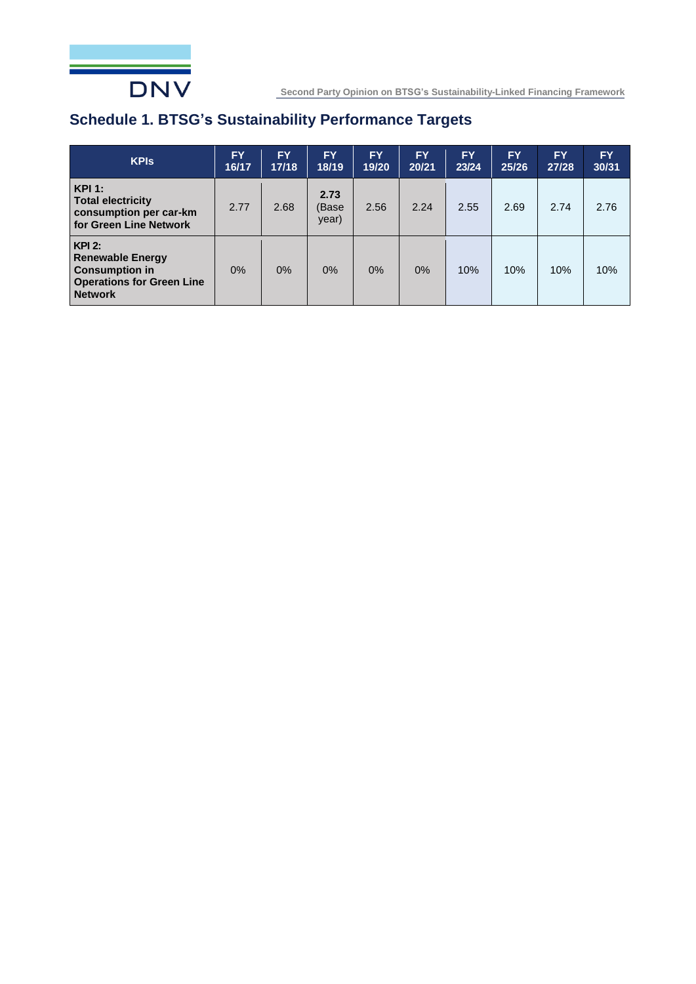

# <span id="page-6-0"></span>**Schedule 1. BTSG's Sustainability Performance Targets**

| <b>KPIs</b>                                                                                                        | <b>FY</b><br>16/17 | FY.<br>17/18 | FY.<br>18/19           | <b>FY</b><br>19/20 | <b>FY</b><br>20/21 | <b>FY</b><br>23/24 | <b>FY</b><br>25/26 | <b>FY</b><br>27/28 | <b>FY</b><br>30/31 |
|--------------------------------------------------------------------------------------------------------------------|--------------------|--------------|------------------------|--------------------|--------------------|--------------------|--------------------|--------------------|--------------------|
| KPI:<br><b>Total electricity</b><br>consumption per car-km<br>for Green Line Network                               | 2.77               | 2.68         | 2.73<br>(Base<br>year) | 2.56               | 2.24               | 2.55               | 2.69               | 2.74               | 2.76               |
| $KPI$ 2:<br><b>Renewable Energy</b><br><b>Consumption in</b><br><b>Operations for Green Line</b><br><b>Network</b> | $0\%$              | $0\%$        | $0\%$                  | 0%                 | $0\%$              | 10%                | 10%                | 10%                | 10%                |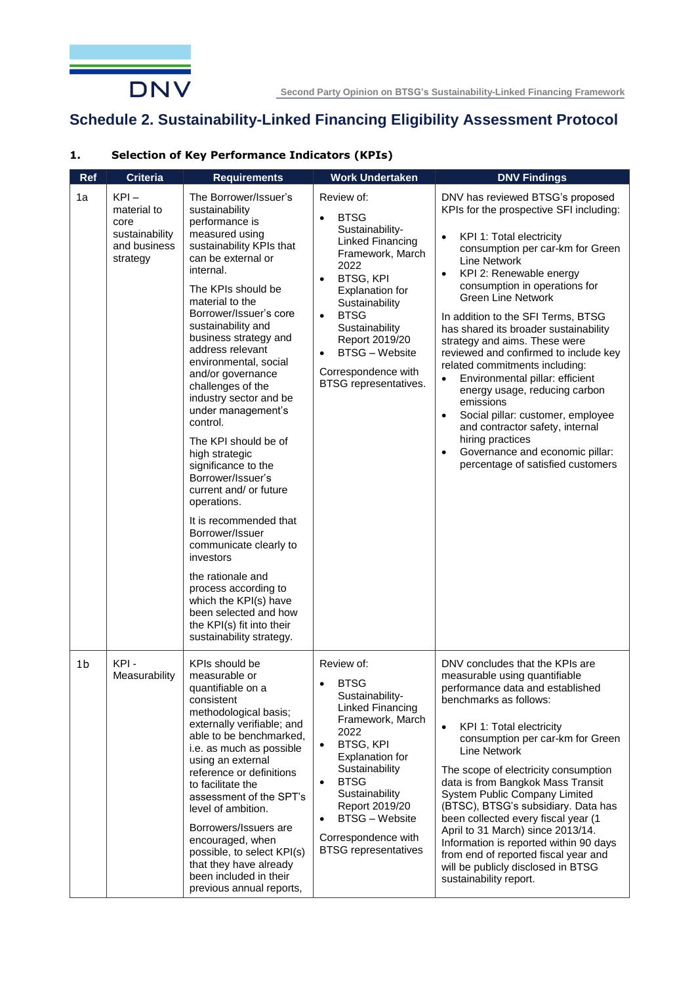

# <span id="page-7-0"></span>**Schedule 2. Sustainability-Linked Financing Eligibility Assessment Protocol**

# **1. Selection of Key Performance Indicators (KPIs)**

| Ref            | Criteria                                                                     | <b>Requirements</b>                                                                                                                                                                                                                                                                                                                                                                                                                                                                                                                                                                                                                                                                                                                                                                        | <b>Work Undertaken</b>                                                                                                                                                                                                                                                                                                                      | <b>DNV Findings</b>                                                                                                                                                                                                                                                                                                                                                                                                                                                                                                                                                                                                                                                                                                                                                          |
|----------------|------------------------------------------------------------------------------|--------------------------------------------------------------------------------------------------------------------------------------------------------------------------------------------------------------------------------------------------------------------------------------------------------------------------------------------------------------------------------------------------------------------------------------------------------------------------------------------------------------------------------------------------------------------------------------------------------------------------------------------------------------------------------------------------------------------------------------------------------------------------------------------|---------------------------------------------------------------------------------------------------------------------------------------------------------------------------------------------------------------------------------------------------------------------------------------------------------------------------------------------|------------------------------------------------------------------------------------------------------------------------------------------------------------------------------------------------------------------------------------------------------------------------------------------------------------------------------------------------------------------------------------------------------------------------------------------------------------------------------------------------------------------------------------------------------------------------------------------------------------------------------------------------------------------------------------------------------------------------------------------------------------------------------|
| 1a             | $KPI -$<br>material to<br>core<br>sustainability<br>and business<br>strategy | The Borrower/Issuer's<br>sustainability<br>performance is<br>measured using<br>sustainability KPIs that<br>can be external or<br>internal.<br>The KPIs should be<br>material to the<br>Borrower/Issuer's core<br>sustainability and<br>business strategy and<br>address relevant<br>environmental, social<br>and/or governance<br>challenges of the<br>industry sector and be<br>under management's<br>control.<br>The KPI should be of<br>high strategic<br>significance to the<br>Borrower/Issuer's<br>current and/ or future<br>operations.<br>It is recommended that<br>Borrower/Issuer<br>communicate clearly to<br>investors<br>the rationale and<br>process according to<br>which the KPI(s) have<br>been selected and how<br>the KPI(s) fit into their<br>sustainability strategy. | Review of:<br><b>BTSG</b><br>$\bullet$<br>Sustainability-<br>Linked Financing<br>Framework, March<br>2022<br><b>BTSG, KPI</b><br>$\bullet$<br>Explanation for<br>Sustainability<br><b>BTSG</b><br>$\bullet$<br>Sustainability<br>Report 2019/20<br><b>BTSG - Website</b><br>$\bullet$<br>Correspondence with<br>BTSG representatives.       | DNV has reviewed BTSG's proposed<br>KPIs for the prospective SFI including:<br>KPI 1: Total electricity<br>$\bullet$<br>consumption per car-km for Green<br><b>Line Network</b><br>KPI 2: Renewable energy<br>$\bullet$<br>consumption in operations for<br><b>Green Line Network</b><br>In addition to the SFI Terms, BTSG<br>has shared its broader sustainability<br>strategy and aims. These were<br>reviewed and confirmed to include key<br>related commitments including:<br>Environmental pillar: efficient<br>$\bullet$<br>energy usage, reducing carbon<br>emissions<br>Social pillar: customer, employee<br>$\bullet$<br>and contractor safety, internal<br>hiring practices<br>Governance and economic pillar:<br>$\bullet$<br>percentage of satisfied customers |
| 1 <sub>b</sub> | KPI-<br>Measurability                                                        | KPIs should be<br>measurable or<br>quantifiable on a<br>consistent<br>methodological basis;<br>externally verifiable; and<br>able to be benchmarked,<br>i.e. as much as possible<br>using an external<br>reference or definitions<br>to facilitate the<br>assessment of the SPT's<br>level of ambition.<br>Borrowers/Issuers are<br>encouraged, when<br>possible, to select KPI(s)<br>that they have already<br>been included in their<br>previous annual reports,                                                                                                                                                                                                                                                                                                                         | Review of:<br><b>BTSG</b><br>$\bullet$<br>Sustainability-<br>Linked Financing<br>Framework, March<br>2022<br><b>BTSG, KPI</b><br>$\bullet$<br>Explanation for<br>Sustainability<br><b>BTSG</b><br>$\bullet$<br>Sustainability<br>Report 2019/20<br><b>BTSG</b> - Website<br>$\bullet$<br>Correspondence with<br><b>BTSG</b> representatives | DNV concludes that the KPIs are<br>measurable using quantifiable<br>performance data and established<br>benchmarks as follows:<br>KPI 1: Total electricity<br>$\bullet$<br>consumption per car-km for Green<br>Line Network<br>The scope of electricity consumption<br>data is from Bangkok Mass Transit<br>System Public Company Limited<br>(BTSC), BTSG's subsidiary. Data has<br>been collected every fiscal year (1<br>April to 31 March) since 2013/14.<br>Information is reported within 90 days<br>from end of reported fiscal year and<br>will be publicly disclosed in BTSG<br>sustainability report.                                                                                                                                                               |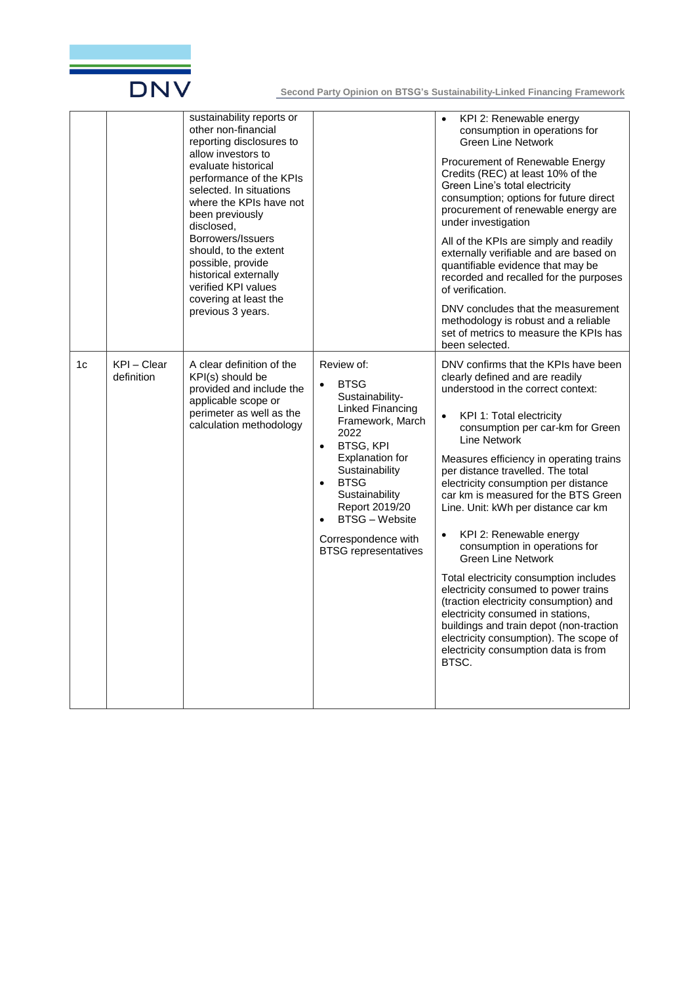

|    |                           | sustainability reports or<br>other non-financial<br>reporting disclosures to<br>allow investors to<br>evaluate historical<br>performance of the KPIs<br>selected. In situations<br>where the KPIs have not<br>been previously<br>disclosed,<br>Borrowers/Issuers<br>should, to the extent<br>possible, provide<br>historical externally<br>verified KPI values<br>covering at least the<br>previous 3 years. |                                                                                                                                                                                                                                                                                                                                | KPI 2: Renewable energy<br>$\bullet$<br>consumption in operations for<br><b>Green Line Network</b><br>Procurement of Renewable Energy<br>Credits (REC) at least 10% of the<br>Green Line's total electricity<br>consumption; options for future direct<br>procurement of renewable energy are<br>under investigation<br>All of the KPIs are simply and readily<br>externally verifiable and are based on<br>quantifiable evidence that may be<br>recorded and recalled for the purposes<br>of verification.<br>DNV concludes that the measurement<br>methodology is robust and a reliable<br>set of metrics to measure the KPIs has<br>been selected.                                                                                                                                                                                 |
|----|---------------------------|--------------------------------------------------------------------------------------------------------------------------------------------------------------------------------------------------------------------------------------------------------------------------------------------------------------------------------------------------------------------------------------------------------------|--------------------------------------------------------------------------------------------------------------------------------------------------------------------------------------------------------------------------------------------------------------------------------------------------------------------------------|---------------------------------------------------------------------------------------------------------------------------------------------------------------------------------------------------------------------------------------------------------------------------------------------------------------------------------------------------------------------------------------------------------------------------------------------------------------------------------------------------------------------------------------------------------------------------------------------------------------------------------------------------------------------------------------------------------------------------------------------------------------------------------------------------------------------------------------|
| 1c | KPI - Clear<br>definition | A clear definition of the<br>KPI(s) should be<br>provided and include the<br>applicable scope or<br>perimeter as well as the<br>calculation methodology                                                                                                                                                                                                                                                      | Review of:<br><b>BTSG</b><br>$\bullet$<br>Sustainability-<br>Linked Financing<br>Framework, March<br>2022<br><b>BTSG, KPI</b><br>$\bullet$<br>Explanation for<br>Sustainability<br><b>BTSG</b><br>$\bullet$<br>Sustainability<br>Report 2019/20<br><b>BTSG - Website</b><br>Correspondence with<br><b>BTSG</b> representatives | DNV confirms that the KPIs have been<br>clearly defined and are readily<br>understood in the correct context:<br>KPI 1: Total electricity<br>$\bullet$<br>consumption per car-km for Green<br><b>Line Network</b><br>Measures efficiency in operating trains<br>per distance travelled. The total<br>electricity consumption per distance<br>car km is measured for the BTS Green<br>Line. Unit: kWh per distance car km<br>KPI 2: Renewable energy<br>$\bullet$<br>consumption in operations for<br><b>Green Line Network</b><br>Total electricity consumption includes<br>electricity consumed to power trains<br>(traction electricity consumption) and<br>electricity consumed in stations,<br>buildings and train depot (non-traction<br>electricity consumption). The scope of<br>electricity consumption data is from<br>BTSC. |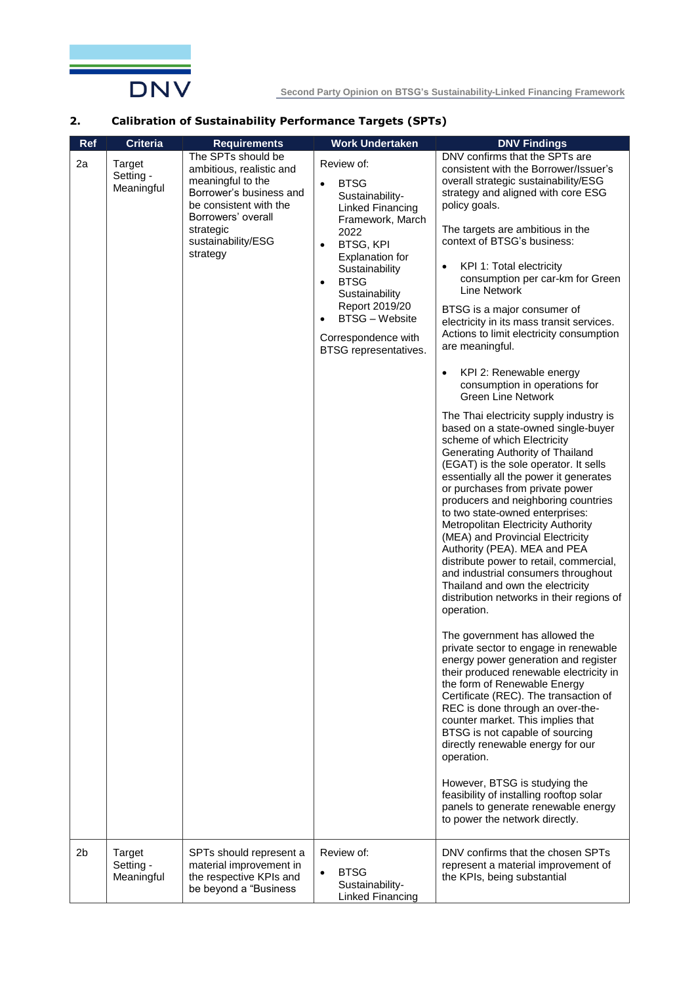

#### **2. Calibration of Sustainability Performance Targets (SPTs)**

| Ref | <b>Criteria</b>                          | <b>Requirements</b>                                                                                                                                                                           | <b>Work Undertaken</b>                                                                                                                                                                                                                                                                                                   | <b>DNV Findings</b>                                                                                                                                                                                                                                                                                                                                                                                                                                                                                                                                                                                                                                                                                                                                                                                                                                                                                                                                                                                                                                                                                                                                                                                                                                                                                                                                                                                                                                                                                                                                                                                                                                                                                                                                                                                       |
|-----|------------------------------------------|-----------------------------------------------------------------------------------------------------------------------------------------------------------------------------------------------|--------------------------------------------------------------------------------------------------------------------------------------------------------------------------------------------------------------------------------------------------------------------------------------------------------------------------|-----------------------------------------------------------------------------------------------------------------------------------------------------------------------------------------------------------------------------------------------------------------------------------------------------------------------------------------------------------------------------------------------------------------------------------------------------------------------------------------------------------------------------------------------------------------------------------------------------------------------------------------------------------------------------------------------------------------------------------------------------------------------------------------------------------------------------------------------------------------------------------------------------------------------------------------------------------------------------------------------------------------------------------------------------------------------------------------------------------------------------------------------------------------------------------------------------------------------------------------------------------------------------------------------------------------------------------------------------------------------------------------------------------------------------------------------------------------------------------------------------------------------------------------------------------------------------------------------------------------------------------------------------------------------------------------------------------------------------------------------------------------------------------------------------------|
| 2a  | <b>Target</b><br>Setting -<br>Meaningful | The SPTs should be<br>ambitious, realistic and<br>meaningful to the<br>Borrower's business and<br>be consistent with the<br>Borrowers' overall<br>strategic<br>sustainability/ESG<br>strategy | Review of:<br><b>BTSG</b><br>$\bullet$<br>Sustainability-<br>Linked Financing<br>Framework, March<br>2022<br><b>BTSG, KPI</b><br>$\bullet$<br>Explanation for<br>Sustainability<br><b>BTSG</b><br>$\bullet$<br>Sustainability<br>Report 2019/20<br><b>BTSG - Website</b><br>Correspondence with<br>BTSG representatives. | DNV confirms that the SPTs are<br>consistent with the Borrower/Issuer's<br>overall strategic sustainability/ESG<br>strategy and aligned with core ESG<br>policy goals.<br>The targets are ambitious in the<br>context of BTSG's business:<br>KPI 1: Total electricity<br>$\bullet$<br>consumption per car-km for Green<br><b>Line Network</b><br>BTSG is a major consumer of<br>electricity in its mass transit services.<br>Actions to limit electricity consumption<br>are meaningful.<br>KPI 2: Renewable energy<br>$\bullet$<br>consumption in operations for<br><b>Green Line Network</b><br>The Thai electricity supply industry is<br>based on a state-owned single-buyer<br>scheme of which Electricity<br>Generating Authority of Thailand<br>(EGAT) is the sole operator. It sells<br>essentially all the power it generates<br>or purchases from private power<br>producers and neighboring countries<br>to two state-owned enterprises:<br>Metropolitan Electricity Authority<br>(MEA) and Provincial Electricity<br>Authority (PEA). MEA and PEA<br>distribute power to retail, commercial,<br>and industrial consumers throughout<br>Thailand and own the electricity<br>distribution networks in their regions of<br>operation.<br>The government has allowed the<br>private sector to engage in renewable<br>energy power generation and register<br>their produced renewable electricity in<br>the form of Renewable Energy<br>Certificate (REC). The transaction of<br>REC is done through an over-the-<br>counter market. This implies that<br>BTSG is not capable of sourcing<br>directly renewable energy for our<br>operation.<br>However, BTSG is studying the<br>feasibility of installing rooftop solar<br>panels to generate renewable energy<br>to power the network directly. |
| 2b  | <b>Target</b><br>Setting -<br>Meaningful | SPTs should represent a<br>material improvement in<br>the respective KPIs and<br>be beyond a "Business                                                                                        | Review of:<br><b>BTSG</b><br>Sustainability-<br>Linked Financing                                                                                                                                                                                                                                                         | DNV confirms that the chosen SPTs<br>represent a material improvement of<br>the KPIs, being substantial                                                                                                                                                                                                                                                                                                                                                                                                                                                                                                                                                                                                                                                                                                                                                                                                                                                                                                                                                                                                                                                                                                                                                                                                                                                                                                                                                                                                                                                                                                                                                                                                                                                                                                   |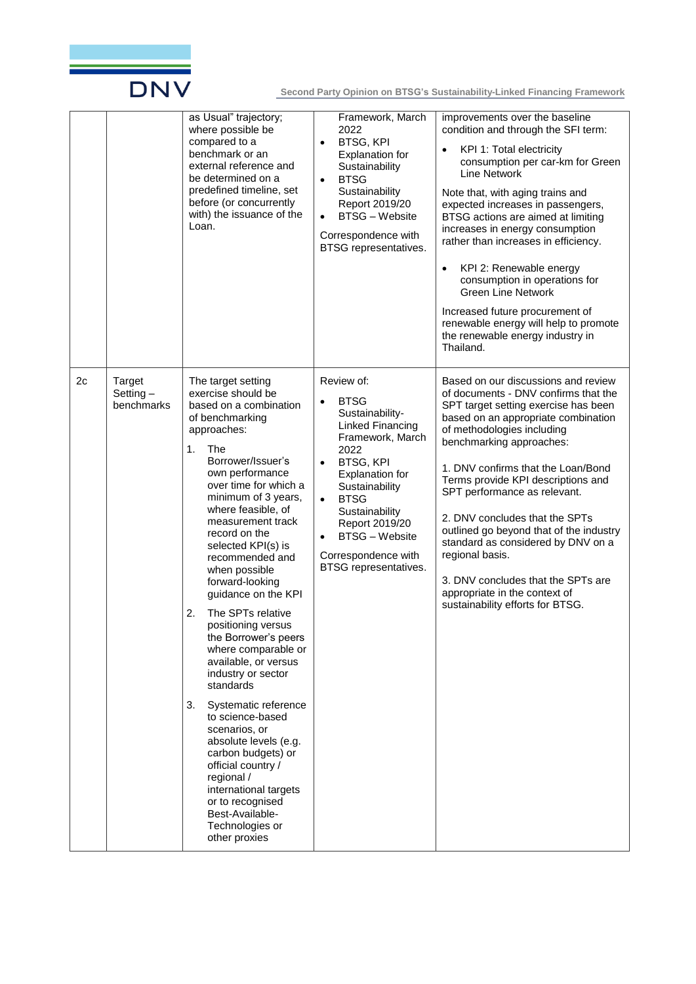

|    |                                     | as Usual" trajectory;<br>where possible be<br>compared to a<br>benchmark or an<br>external reference and<br>be determined on a<br>predefined timeline, set<br>before (or concurrently<br>with) the issuance of the<br>Loan.                                                                                                                                                                                                                                                                                                                                                                                                                                                                                                                                                                    | Framework, March<br>2022<br><b>BTSG, KPI</b><br>$\bullet$<br>Explanation for<br>Sustainability<br><b>BTSG</b><br>$\bullet$<br>Sustainability<br>Report 2019/20<br><b>BTSG - Website</b><br>$\bullet$<br>Correspondence with<br>BTSG representatives.                                                                     | improvements over the baseline<br>condition and through the SFI term:<br>KPI 1: Total electricity<br>consumption per car-km for Green<br>Line Network<br>Note that, with aging trains and<br>expected increases in passengers,<br>BTSG actions are aimed at limiting<br>increases in energy consumption<br>rather than increases in efficiency.<br>KPI 2: Renewable energy<br>$\bullet$<br>consumption in operations for<br><b>Green Line Network</b><br>Increased future procurement of<br>renewable energy will help to promote<br>the renewable energy industry in<br>Thailand. |
|----|-------------------------------------|------------------------------------------------------------------------------------------------------------------------------------------------------------------------------------------------------------------------------------------------------------------------------------------------------------------------------------------------------------------------------------------------------------------------------------------------------------------------------------------------------------------------------------------------------------------------------------------------------------------------------------------------------------------------------------------------------------------------------------------------------------------------------------------------|--------------------------------------------------------------------------------------------------------------------------------------------------------------------------------------------------------------------------------------------------------------------------------------------------------------------------|------------------------------------------------------------------------------------------------------------------------------------------------------------------------------------------------------------------------------------------------------------------------------------------------------------------------------------------------------------------------------------------------------------------------------------------------------------------------------------------------------------------------------------------------------------------------------------|
| 2c | Target<br>Setting $-$<br>benchmarks | The target setting<br>exercise should be<br>based on a combination<br>of benchmarking<br>approaches:<br>1.<br>The<br>Borrower/Issuer's<br>own performance<br>over time for which a<br>minimum of 3 years,<br>where feasible, of<br>measurement track<br>record on the<br>selected KPI(s) is<br>recommended and<br>when possible<br>forward-looking<br>guidance on the KPI<br>The SPTs relative<br>2.<br>positioning versus<br>the Borrower's peers<br>where comparable or<br>available, or versus<br>industry or sector<br>standards<br>3.<br>Systematic reference<br>to science-based<br>scenarios, or<br>absolute levels (e.g.<br>carbon budgets) or<br>official country /<br>regional /<br>international targets<br>or to recognised<br>Best-Available-<br>Technologies or<br>other proxies | Review of:<br><b>BTSG</b><br>Sustainability-<br>Linked Financing<br>Framework, March<br>2022<br><b>BTSG, KPI</b><br>$\bullet$<br>Explanation for<br>Sustainability<br><b>BTSG</b><br>$\bullet$<br>Sustainability<br>Report 2019/20<br><b>BTSG - Website</b><br>$\bullet$<br>Correspondence with<br>BTSG representatives. | Based on our discussions and review<br>of documents - DNV confirms that the<br>SPT target setting exercise has been<br>based on an appropriate combination<br>of methodologies including<br>benchmarking approaches:<br>1. DNV confirms that the Loan/Bond<br>Terms provide KPI descriptions and<br>SPT performance as relevant.<br>2. DNV concludes that the SPTs<br>outlined go beyond that of the industry<br>standard as considered by DNV on a<br>regional basis.<br>3. DNV concludes that the SPTs are<br>appropriate in the context of<br>sustainability efforts for BTSG.  |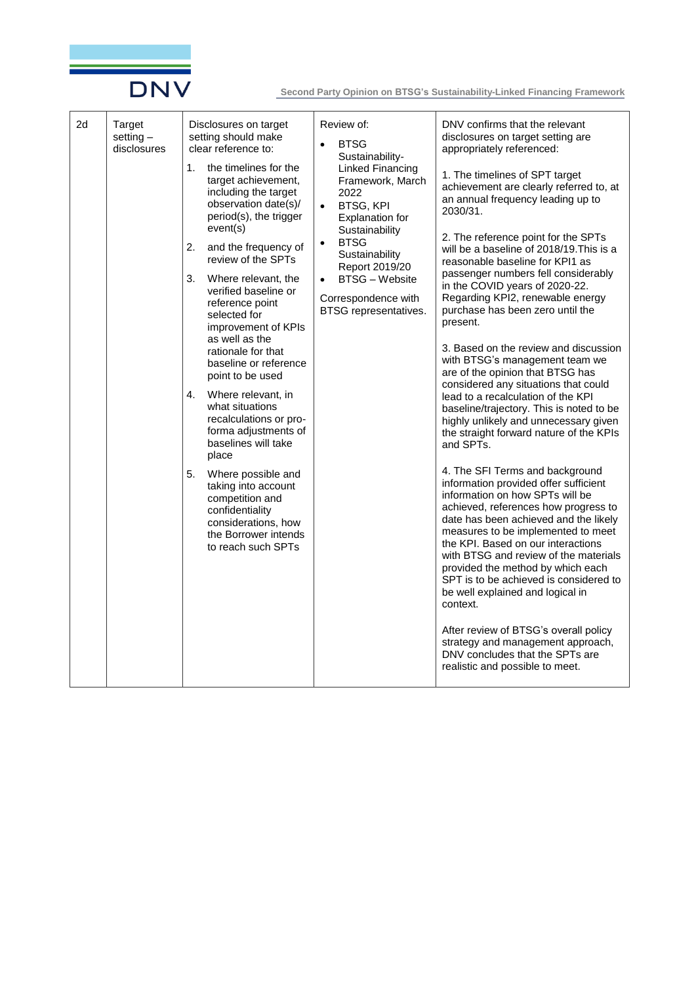

| 2d | Target<br>setting $-$<br>disclosures | Disclosures on target<br>setting should make<br>clear reference to:<br>the timelines for the<br>1.<br>target achievement,<br>including the target<br>observation date(s)/<br>period(s), the trigger<br>event(s)<br>2.<br>and the frequency of<br>review of the SPTs<br>3.<br>Where relevant, the<br>verified baseline or<br>reference point<br>selected for<br>improvement of KPIs<br>as well as the<br>rationale for that<br>baseline or reference<br>point to be used<br>Where relevant, in<br>4.<br>what situations<br>recalculations or pro-<br>forma adjustments of<br>baselines will take<br>place<br>5.<br>Where possible and<br>taking into account<br>competition and<br>confidentiality<br>considerations, how<br>the Borrower intends<br>to reach such SPTs | Review of:<br><b>BTSG</b><br>Sustainability-<br><b>Linked Financing</b><br>Framework, March<br>2022<br><b>BTSG, KPI</b><br>$\bullet$<br>Explanation for<br>Sustainability<br><b>BTSG</b><br>$\bullet$<br>Sustainability<br>Report 2019/20<br><b>BTSG - Website</b><br>$\bullet$<br>Correspondence with<br>BTSG representatives. | DNV confirms that the relevant<br>disclosures on target setting are<br>appropriately referenced:<br>1. The timelines of SPT target<br>achievement are clearly referred to, at<br>an annual frequency leading up to<br>2030/31.<br>2. The reference point for the SPTs<br>will be a baseline of 2018/19. This is a<br>reasonable baseline for KPI1 as<br>passenger numbers fell considerably<br>in the COVID years of 2020-22.<br>Regarding KPI2, renewable energy<br>purchase has been zero until the<br>present.<br>3. Based on the review and discussion<br>with BTSG's management team we<br>are of the opinion that BTSG has<br>considered any situations that could<br>lead to a recalculation of the KPI<br>baseline/trajectory. This is noted to be<br>highly unlikely and unnecessary given<br>the straight forward nature of the KPIs<br>and SPTs.<br>4. The SFI Terms and background<br>information provided offer sufficient<br>information on how SPTs will be<br>achieved, references how progress to<br>date has been achieved and the likely<br>measures to be implemented to meet<br>the KPI. Based on our interactions<br>with BTSG and review of the materials<br>provided the method by which each |
|----|--------------------------------------|------------------------------------------------------------------------------------------------------------------------------------------------------------------------------------------------------------------------------------------------------------------------------------------------------------------------------------------------------------------------------------------------------------------------------------------------------------------------------------------------------------------------------------------------------------------------------------------------------------------------------------------------------------------------------------------------------------------------------------------------------------------------|---------------------------------------------------------------------------------------------------------------------------------------------------------------------------------------------------------------------------------------------------------------------------------------------------------------------------------|-----------------------------------------------------------------------------------------------------------------------------------------------------------------------------------------------------------------------------------------------------------------------------------------------------------------------------------------------------------------------------------------------------------------------------------------------------------------------------------------------------------------------------------------------------------------------------------------------------------------------------------------------------------------------------------------------------------------------------------------------------------------------------------------------------------------------------------------------------------------------------------------------------------------------------------------------------------------------------------------------------------------------------------------------------------------------------------------------------------------------------------------------------------------------------------------------------------------------|
|    |                                      |                                                                                                                                                                                                                                                                                                                                                                                                                                                                                                                                                                                                                                                                                                                                                                        |                                                                                                                                                                                                                                                                                                                                 | SPT is to be achieved is considered to<br>be well explained and logical in<br>context.<br>After review of BTSG's overall policy<br>strategy and management approach,<br>DNV concludes that the SPTs are<br>realistic and possible to meet.                                                                                                                                                                                                                                                                                                                                                                                                                                                                                                                                                                                                                                                                                                                                                                                                                                                                                                                                                                            |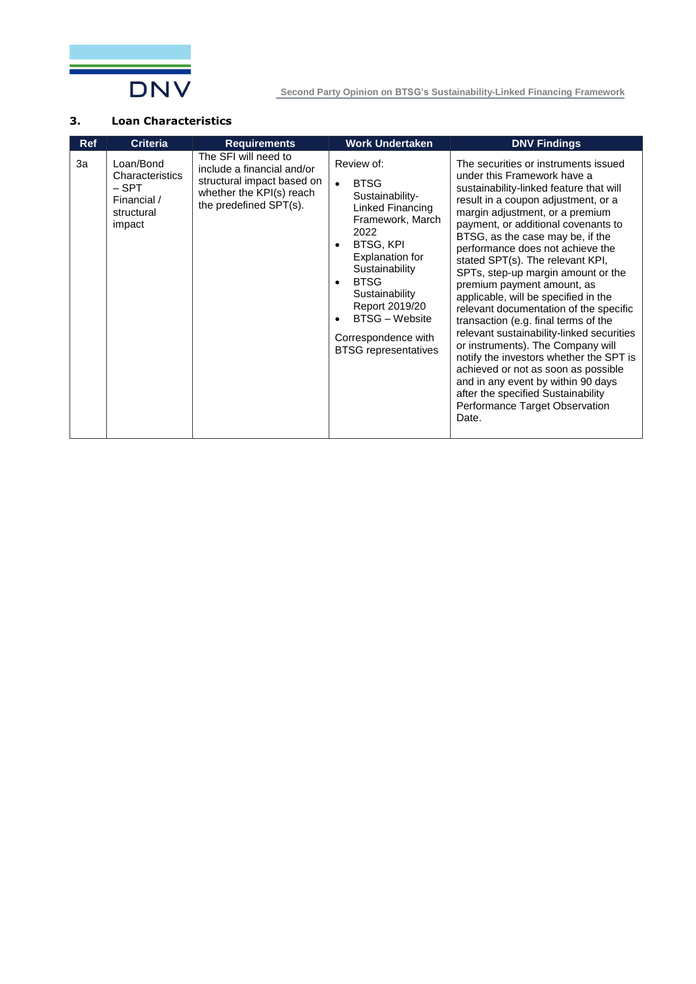

#### **3. Loan Characteristics**

| <b>Ref</b> | <b>Criteria</b>                                                              | <b>Requirements</b>                                                                                                                    | <b>Work Undertaken</b>                                                                                                                                                                                                                                                                                                  | <b>DNV Findings</b>                                                                                                                                                                                                                                                                                                                                                                                                                                                                                                                                                                                                                                                                                                                                                                                                                  |
|------------|------------------------------------------------------------------------------|----------------------------------------------------------------------------------------------------------------------------------------|-------------------------------------------------------------------------------------------------------------------------------------------------------------------------------------------------------------------------------------------------------------------------------------------------------------------------|--------------------------------------------------------------------------------------------------------------------------------------------------------------------------------------------------------------------------------------------------------------------------------------------------------------------------------------------------------------------------------------------------------------------------------------------------------------------------------------------------------------------------------------------------------------------------------------------------------------------------------------------------------------------------------------------------------------------------------------------------------------------------------------------------------------------------------------|
| За         | Loan/Bond<br>Characteristics<br>– SPT<br>Financial /<br>structural<br>impact | The SFI will need to<br>include a financial and/or<br>structural impact based on<br>whether the KPI(s) reach<br>the predefined SPT(s). | Review of:<br><b>BTSG</b><br>$\bullet$<br>Sustainability-<br>Linked Financing<br>Framework, March<br>2022<br>BTSG, KPI<br>$\bullet$<br>Explanation for<br>Sustainability<br><b>BTSG</b><br>$\bullet$<br>Sustainability<br>Report 2019/20<br><b>BTSG - Website</b><br>Correspondence with<br><b>BTSG</b> representatives | The securities or instruments issued<br>under this Framework have a<br>sustainability-linked feature that will<br>result in a coupon adjustment, or a<br>margin adjustment, or a premium<br>payment, or additional covenants to<br>BTSG, as the case may be, if the<br>performance does not achieve the<br>stated SPT(s). The relevant KPI,<br>SPTs, step-up margin amount or the<br>premium payment amount, as<br>applicable, will be specified in the<br>relevant documentation of the specific<br>transaction (e.g. final terms of the<br>relevant sustainability-linked securities<br>or instruments). The Company will<br>notify the investors whether the SPT is<br>achieved or not as soon as possible<br>and in any event by within 90 days<br>after the specified Sustainability<br>Performance Target Observation<br>Date. |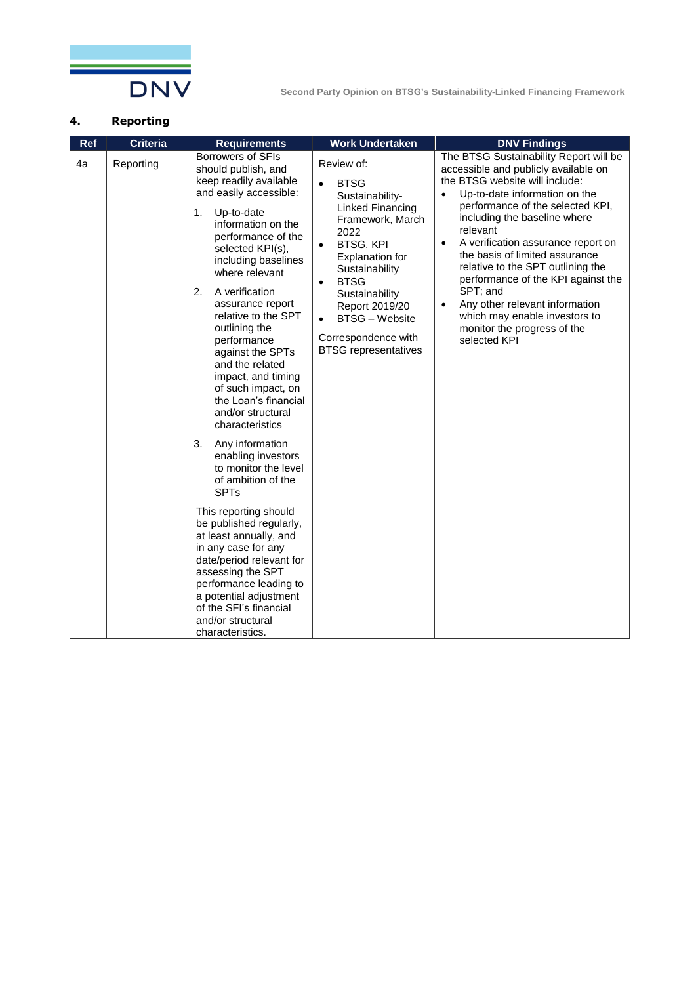

#### **4. Reporting**

| <b>Ref</b> | <b>Criteria</b> | <b>Requirements</b>                                                                                                                                                                                                                                                                                                                                                                                                                                                                                                                                                                                                                                                                                                                                                                                                                                                             | <b>Work Undertaken</b>                                                                                                                                                                                                                                                                                                                      | <b>DNV Findings</b>                                                                                                                                                                                                                                                                                                                                                                                                                                                                                                                          |
|------------|-----------------|---------------------------------------------------------------------------------------------------------------------------------------------------------------------------------------------------------------------------------------------------------------------------------------------------------------------------------------------------------------------------------------------------------------------------------------------------------------------------------------------------------------------------------------------------------------------------------------------------------------------------------------------------------------------------------------------------------------------------------------------------------------------------------------------------------------------------------------------------------------------------------|---------------------------------------------------------------------------------------------------------------------------------------------------------------------------------------------------------------------------------------------------------------------------------------------------------------------------------------------|----------------------------------------------------------------------------------------------------------------------------------------------------------------------------------------------------------------------------------------------------------------------------------------------------------------------------------------------------------------------------------------------------------------------------------------------------------------------------------------------------------------------------------------------|
| 4a         | Reporting       | <b>Borrowers of SFIs</b><br>should publish, and<br>keep readily available<br>and easily accessible:<br>Up-to-date<br>1.<br>information on the<br>performance of the<br>selected KPI(s),<br>including baselines<br>where relevant<br>2.<br>A verification<br>assurance report<br>relative to the SPT<br>outlining the<br>performance<br>against the SPTs<br>and the related<br>impact, and timing<br>of such impact, on<br>the Loan's financial<br>and/or structural<br>characteristics<br>3.<br>Any information<br>enabling investors<br>to monitor the level<br>of ambition of the<br><b>SPTs</b><br>This reporting should<br>be published regularly,<br>at least annually, and<br>in any case for any<br>date/period relevant for<br>assessing the SPT<br>performance leading to<br>a potential adjustment<br>of the SFI's financial<br>and/or structural<br>characteristics. | Review of:<br><b>BTSG</b><br>$\bullet$<br>Sustainability-<br>Linked Financing<br>Framework, March<br>2022<br><b>BTSG, KPI</b><br>$\bullet$<br>Explanation for<br>Sustainability<br><b>BTSG</b><br>$\bullet$<br>Sustainability<br>Report 2019/20<br><b>BTSG</b> – Website<br>$\bullet$<br>Correspondence with<br><b>BTSG</b> representatives | The BTSG Sustainability Report will be<br>accessible and publicly available on<br>the BTSG website will include:<br>Up-to-date information on the<br>performance of the selected KPI,<br>including the baseline where<br>relevant<br>A verification assurance report on<br>$\bullet$<br>the basis of limited assurance<br>relative to the SPT outlining the<br>performance of the KPI against the<br>SPT; and<br>Any other relevant information<br>$\bullet$<br>which may enable investors to<br>monitor the progress of the<br>selected KPI |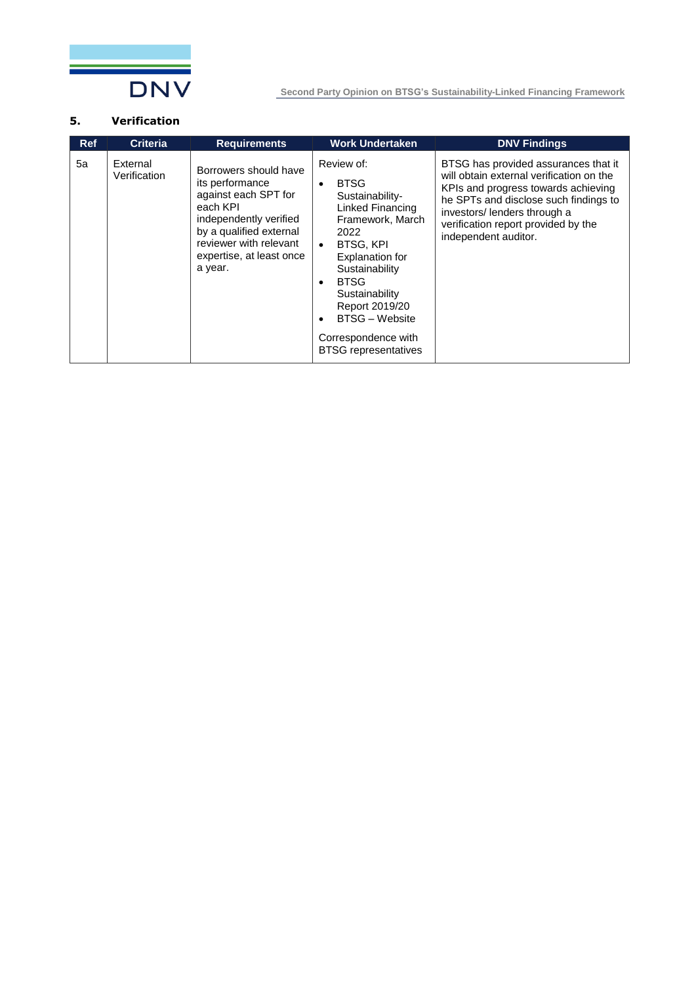

#### **5. Verification**

| <b>Ref</b> | <b>Criteria</b>          | <b>Requirements</b>                                                                                                                                                                                | <b>Work Undertaken</b>                                                                                                                                                                                                                                                                                      | <b>DNV Findings</b>                                                                                                                                                                                                                                             |
|------------|--------------------------|----------------------------------------------------------------------------------------------------------------------------------------------------------------------------------------------------|-------------------------------------------------------------------------------------------------------------------------------------------------------------------------------------------------------------------------------------------------------------------------------------------------------------|-----------------------------------------------------------------------------------------------------------------------------------------------------------------------------------------------------------------------------------------------------------------|
| 5a         | External<br>Verification | Borrowers should have<br>its performance<br>against each SPT for<br>each KPI<br>independently verified<br>by a qualified external<br>reviewer with relevant<br>expertise, at least once<br>a year. | Review of:<br><b>BTSG</b><br>Sustainability-<br>Linked Financing<br>Framework, March<br>2022<br><b>BTSG, KPI</b><br>$\bullet$<br><b>Explanation for</b><br>Sustainability<br><b>BTSG</b><br>Sustainability<br>Report 2019/20<br><b>BTSG</b> – Website<br>Correspondence with<br><b>BTSG</b> representatives | BTSG has provided assurances that it<br>will obtain external verification on the<br>KPIs and progress towards achieving<br>he SPTs and disclose such findings to<br>investors/ lenders through a<br>verification report provided by the<br>independent auditor. |